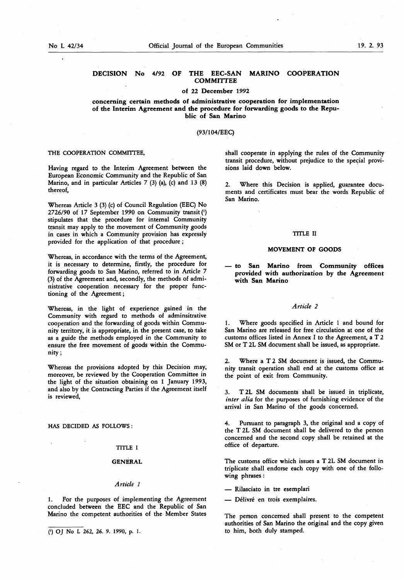# DECISION No 4/92 OF THE EEC-SAN MARINO COOPERATION **COMMITTEE**

### of 22 December 1992

concerning certain methods of administrative cooperation for implementation of the Interim Agreement and the procedure for forwarding goods to the Republic of San Marino

## (93/104/EEC)

# THE COOPERATION COMMITTEE,

Having regard to the Interim Agreement between the European Economic Community and the Republic of San Marino, and in particular Articles 7 (3) (a), (c) and 13 (8) thereof,

Whereas Article 3 (3) (c) of Council Regulation (EEC) No 2726/90 of 17 September 1990 on Community transit (') stipulates that the procedure for internal Community transit may apply to the movement of Community goods in cases in which a Community provision has expressly provided for the application of that procedure ;

Whereas, in accordance with the terms of the Agreement, it is necessary to determine, firstly, the procedure for forwarding goods to San Marino, referred to in Article 7 (3) of the Agreement and, secondly, the methods of administrative cooperation necessary for the proper functioning of the Agreement ;

Whereas, in the light of experience gained in the Community with regard to methods of adminsitrative cooperation and the forwarding of goods within Community territory, it is appropriate, in the present case, to take as a guide the methods employed in the Community to ensure the free movement of goods within the Community ;

Whereas the provisions adopted by this Decision may, moreover, be reviewed by the Cooperation Committee in the light of the situation obtaining on <sup>1</sup> January 1993, and also by the Contracting Parties if the Agreement itself is reviewed,

HAS DECIDED AS FOLLOWS :

#### TITLE I

## GENERAL

#### Article <sup>1</sup>

1. For the purposes of implementing the Agreement concluded between the EEC and the Republic of San Marino the competent authorities of the Member States

shall cooperate in applying the rules of the Community transit procedure, without prejudice to the special provisions laid down below.

2. Where this Decision is applied, guarantee documents and certificates must bear the words Republic of San Marino.

### TITLE II

## MOVEMENT OF GOODS

— to San Marino from Community offices provided with authorization by die Agreement with San Marino

# Article 2

Where goods specified in Article 1 and bound for San Marino are released for free circulation at one of the customs offices listed in Annex I to the Agreement, a T 2 SM or T 2L SM document shall be issued, as appropriate.

2. Where a T 2 SM document is issued, the Community transit operation shall end at the customs office at the point of exit from Community.

3. T 2L SM documents shall be issued in triplicate, inter alia for the purposes of furnishing evidence of the arrival in San Marino of the goods concerned.

4. Pursuant to paragraph 3, the original and a copy of the T 2L SM document shall be delivered to the person concerned and the second copy shall be retained at the office of departure.

The customs office which issues a T 2L SM document in triplicate shall endorse each copy with one of the following phrases :

— Rilasciato in tre esemplan

— Délivré en trois exemplaires.

The person concerned shall present to the competent authorities of San Marino the original and the copy given to him, both duly stamped. (») OJ No <sup>L</sup> 262, 26. 9. 1990, p. <sup>1</sup> .